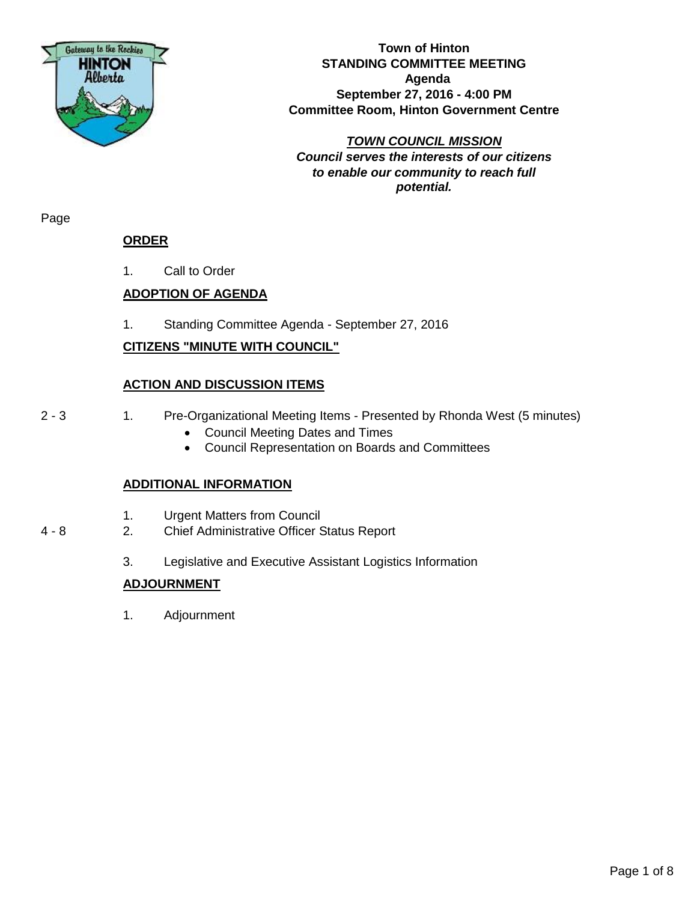

**Town of Hinton STANDING COMMITTEE MEETING Agenda September 27, 2016 - 4:00 PM Committee Room, Hinton Government Centre**

*TOWN COUNCIL MISSION Council serves the interests of our citizens to enable our community to reach full potential.*

Page

## **ORDER**

1. Call to Order

## **ADOPTION OF AGENDA**

1. Standing Committee Agenda - September 27, 2016

## **CITIZENS "MINUTE WITH COUNCIL"**

## **ACTION AND DISCUSSION ITEMS**

- 
- 2 3 1. Pre-Organizational Meeting Items Presented by Rhonda West (5 minutes)
	- Council Meeting Dates and Times
	- Council Representation on Boards and Committees

## **ADDITIONAL INFORMATION**

- 1. Urgent Matters from Council
- 4 8 2. Chief Administrative Officer Status Report
	- 3. Legislative and Executive Assistant Logistics Information

## **ADJOURNMENT**

1. Adjournment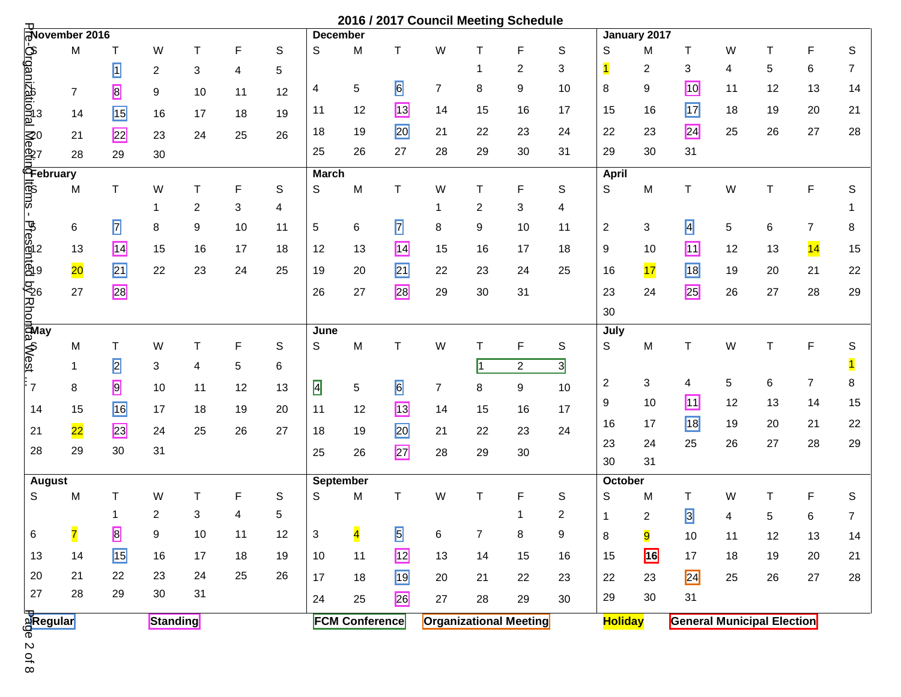|                                                                                                            |                                                                                                                                                                                                                                                                                                                                                                                              |                |                |                |             |             |                           |                                                                                       |                         |                |                | 2016 / 2017 Council Meeting Schedule |                |                |                |                                   |    |             |                |                |
|------------------------------------------------------------------------------------------------------------|----------------------------------------------------------------------------------------------------------------------------------------------------------------------------------------------------------------------------------------------------------------------------------------------------------------------------------------------------------------------------------------------|----------------|----------------|----------------|-------------|-------------|---------------------------|---------------------------------------------------------------------------------------|-------------------------|----------------|----------------|--------------------------------------|----------------|----------------|----------------|-----------------------------------|----|-------------|----------------|----------------|
|                                                                                                            |                                                                                                                                                                                                                                                                                                                                                                                              |                |                |                |             |             | <b>December</b>           |                                                                                       |                         |                |                |                                      |                |                | January 2017   |                                   |    |             |                |                |
|                                                                                                            |                                                                                                                                                                                                                                                                                                                                                                                              | т              | W              | т              | $\mathsf F$ | $\mathsf S$ | S                         | M                                                                                     | T                       | W              | Т              | F                                    | S              | S              | M              | Τ                                 | W  | Τ           | F              | S              |
|                                                                                                            |                                                                                                                                                                                                                                                                                                                                                                                              | $\overline{1}$ | $\overline{c}$ | 3              | 4           | 5           |                           |                                                                                       |                         |                | 1              | $\overline{2}$                       | 3              | $\mathbf{1}$   | $\overline{c}$ | 3                                 | 4  | 5           | 6              | 7              |
|                                                                                                            | $\frac{1}{\sqrt{2}}$<br>$\frac{1}{\sqrt{2}}$<br>$\frac{1}{\sqrt{2}}$<br>$\frac{1}{\sqrt{2}}$<br>$\frac{1}{\sqrt{2}}$<br>$\frac{1}{\sqrt{2}}$<br>$\frac{1}{\sqrt{2}}$<br>$\frac{1}{\sqrt{2}}$<br>$\frac{1}{\sqrt{2}}$<br>$\frac{1}{\sqrt{2}}$<br>$\frac{1}{\sqrt{2}}$<br>$\frac{1}{\sqrt{2}}$<br>$\frac{1}{\sqrt{2}}$<br>$\frac{1}{\sqrt{2}}$<br>$\frac{1}{\sqrt{2}}$<br>$\frac{1}{\sqrt{2}}$ | 8              | 9              | 10             | 11          | 12          | 4                         | $\sqrt{5}$                                                                            | 6                       | $\overline{7}$ | 8              | 9                                    | 10             | 8              | 9              | <b>10</b>                         | 11 | 12          | 13             | 14             |
|                                                                                                            |                                                                                                                                                                                                                                                                                                                                                                                              | <b>15</b>      | 16             | 17             | 18          | 19          | 11                        | 12                                                                                    | <b>13</b>               | 14             | 15             | 16                                   | 17             | 15             | 16             | $\boxed{17}$                      | 18 | 19          | 20             | 21             |
|                                                                                                            |                                                                                                                                                                                                                                                                                                                                                                                              | 22             | 23             | 24             | 25          | 26          | 18                        | 19                                                                                    | 20                      | 21             | 22             | 23                                   | 24             | 22             | 23             | $\overline{24}$                   | 25 | 26          | 27             | 28             |
|                                                                                                            |                                                                                                                                                                                                                                                                                                                                                                                              | 29             | 30             |                |             |             | 25                        | 26                                                                                    | 27                      | 28             | 29             | 30                                   | 31             | 29             | 30             | 31                                |    |             |                |                |
|                                                                                                            |                                                                                                                                                                                                                                                                                                                                                                                              |                |                |                |             |             | <b>March</b>              |                                                                                       |                         |                |                |                                      |                | <b>April</b>   |                |                                   |    |             |                |                |
|                                                                                                            | M                                                                                                                                                                                                                                                                                                                                                                                            | $\mathsf T$    | W              | Τ              | F           | $\mathbb S$ | S                         | ${\sf M}$                                                                             | $\mathsf T$             | W              | $\mathsf T$    | F                                    | S              | $\mathsf S$    | M              | $\mathsf T$                       | W  | $\mathsf T$ | F              | $\mathbb S$    |
|                                                                                                            |                                                                                                                                                                                                                                                                                                                                                                                              |                | 1              | $\overline{2}$ | 3           | 4           |                           |                                                                                       |                         | $\mathbf 1$    | 2              | 3                                    | 4              |                |                |                                   |    |             |                |                |
| i<br>Emax® a la conducta d'Arcania<br>Emax - desantente d'Arcania<br>a la conducta de la conducta d'Arcani | 6                                                                                                                                                                                                                                                                                                                                                                                            | $\overline{z}$ | 8              | 9              | 10          | 11          | 5                         | 6                                                                                     | $\overline{z}$          | 8              | 9              | 10                                   | 11             | $\overline{c}$ | 3              | $\overline{4}$                    | 5  | 6           | $\overline{7}$ | 8              |
|                                                                                                            | 13                                                                                                                                                                                                                                                                                                                                                                                           | $\boxed{14}$   | 15             | 16             | 17          | 18          | 12                        | 13                                                                                    | $\boxed{14}$            | 15             | 16             | 17                                   | 18             | 9              | 10             | $\blacksquare$                    | 12 | 13          | 14             | 15             |
|                                                                                                            | 20                                                                                                                                                                                                                                                                                                                                                                                           | $\boxed{21}$   | 22             | 23             | 24          | 25          | 19                        | 20                                                                                    | $\boxed{21}$            | 22             | 23             | 24                                   | 25             | 16             | 17             | <b>18</b>                         | 19 | 20          | 21             | 22             |
|                                                                                                            | 27                                                                                                                                                                                                                                                                                                                                                                                           | 28             |                |                |             |             | 26                        | 27                                                                                    | 28                      | 29             | 30             | 31                                   |                | 23             | 24             | 25                                | 26 | 27          | 28             | 29             |
|                                                                                                            |                                                                                                                                                                                                                                                                                                                                                                                              |                |                |                |             |             |                           |                                                                                       |                         |                |                |                                      |                | 30             |                |                                   |    |             |                |                |
|                                                                                                            |                                                                                                                                                                                                                                                                                                                                                                                              |                |                |                |             |             | June                      |                                                                                       |                         |                |                |                                      |                | July           |                |                                   |    |             |                |                |
|                                                                                                            | м                                                                                                                                                                                                                                                                                                                                                                                            | T              | W              | Τ              | $\mathsf F$ | $\mathsf S$ | S                         | $\mathsf{M}% _{T}=\mathsf{M}_{T}\!\left( a,b\right) ,\ \mathsf{M}_{T}=\mathsf{M}_{T}$ | $\mathsf T$             | W              | T              | F                                    | S              | S              | M              | T                                 | W  | $\mathsf T$ | F              | S              |
|                                                                                                            | 1                                                                                                                                                                                                                                                                                                                                                                                            | $\overline{2}$ | 3              | 4              | 5           | 6           |                           |                                                                                       |                         |                | $\vert$ 1      | $\overline{c}$                       | $\overline{3}$ |                |                |                                   |    |             |                |                |
|                                                                                                            | 8                                                                                                                                                                                                                                                                                                                                                                                            | 9              | 10             | 11             | 12          | 13          | $\overline{4}$            | $\sqrt{5}$                                                                            | 6                       | $\overline{7}$ | 8              | $\boldsymbol{9}$                     | 10             | $\overline{c}$ | 3              | 4                                 | 5  | 6           | 7              | 8              |
| 14                                                                                                         | 15                                                                                                                                                                                                                                                                                                                                                                                           | <b>16</b>      | 17             | 18             | 19          | 20          | 11                        | 12                                                                                    | <b>13</b>               | 14             | 15             | 16                                   | 17             | 9              | 10             | $\boxed{11}$                      | 12 | 13          | 14             | 15             |
| 21                                                                                                         | $\overline{22}$                                                                                                                                                                                                                                                                                                                                                                              | 23             | 24             | 25             | 26          | 27          | 18                        | 19                                                                                    | 20                      | 21             | 22             | 23                                   | 24             | 16             | 17             | <b>18</b>                         | 19 | 20          | 21             | 22             |
| 28                                                                                                         | 29                                                                                                                                                                                                                                                                                                                                                                                           | 30             | 31             |                |             |             | 25                        | 26                                                                                    | 27                      | 28             | 29             | 30                                   |                | 23<br>30       | 24             | 25                                | 26 | 27          | 28             | 29             |
|                                                                                                            |                                                                                                                                                                                                                                                                                                                                                                                              |                |                |                |             |             |                           |                                                                                       |                         |                |                |                                      |                |                | 31             |                                   |    |             |                |                |
| <b>August</b><br>S                                                                                         | M                                                                                                                                                                                                                                                                                                                                                                                            | T              | W              | т              | F           | $\mathsf S$ | September<br>S            | M                                                                                     | $\mathsf{T}$            | W              | T              | F                                    | S              | October<br>S   | M              | т                                 | W  | $\mathsf T$ | F              | $\mathsf S$    |
|                                                                                                            |                                                                                                                                                                                                                                                                                                                                                                                              | 1              | 2              | 3              | 4           | 5           |                           |                                                                                       |                         |                |                | 1                                    | $\overline{c}$ | $\mathbf{1}$   | $\overline{2}$ | $\overline{3}$                    | 4  | 5           | 6              | $\overline{7}$ |
| $\,6\,$                                                                                                    | $\overline{7}$                                                                                                                                                                                                                                                                                                                                                                               | $\overline{8}$ | 9              | $10$           | 11          | 12          | $\ensuremath{\mathsf{3}}$ | $\overline{\mathbf{4}}$                                                               | $\overline{\mathbf{5}}$ | 6              | $\overline{7}$ | $\bf 8$                              | 9              | 8              | <mark>9</mark> | $10$                              | 11 | 12          | 13             | 14             |
| 13                                                                                                         | 14                                                                                                                                                                                                                                                                                                                                                                                           | <b>15</b>      | 16             | 17             | 18          | 19          | 10                        | 11                                                                                    | 12                      | 13             | 14             | 15                                   | 16             | 15             | <b>16</b>      | $17$                              | 18 | $19$        | 20             | 21             |
| 20                                                                                                         | 21                                                                                                                                                                                                                                                                                                                                                                                           | 22             | 23             | 24             | 25          | 26          | 17                        | 18                                                                                    | 19                      | 20             | 21             | 22                                   | 23             | 22             | 23             | $\overline{24}$                   | 25 | 26          | 27             | 28             |
| 27                                                                                                         | 28                                                                                                                                                                                                                                                                                                                                                                                           | 29             | $30\,$         | 31             |             |             | 24                        | 25                                                                                    | 26                      | 27             | 28             | 29                                   | 30             | 29             | 30             | 31                                |    |             |                |                |
|                                                                                                            |                                                                                                                                                                                                                                                                                                                                                                                              |                | Standing       |                |             |             |                           | <b>FCM Conference</b>                                                                 |                         |                |                | <b>Organizational Meeting</b>        |                | <b>Holiday</b> |                | <b>General Municipal Election</b> |    |             |                |                |
| a<br>aRegular<br>®                                                                                         |                                                                                                                                                                                                                                                                                                                                                                                              |                |                |                |             |             |                           |                                                                                       |                         |                |                |                                      |                |                |                |                                   |    |             |                |                |
| $2$ of 8                                                                                                   |                                                                                                                                                                                                                                                                                                                                                                                              |                |                |                |             |             |                           |                                                                                       |                         |                |                |                                      |                |                |                |                                   |    |             |                |                |
|                                                                                                            |                                                                                                                                                                                                                                                                                                                                                                                              |                |                |                |             |             |                           |                                                                                       |                         |                |                |                                      |                |                |                |                                   |    |             |                |                |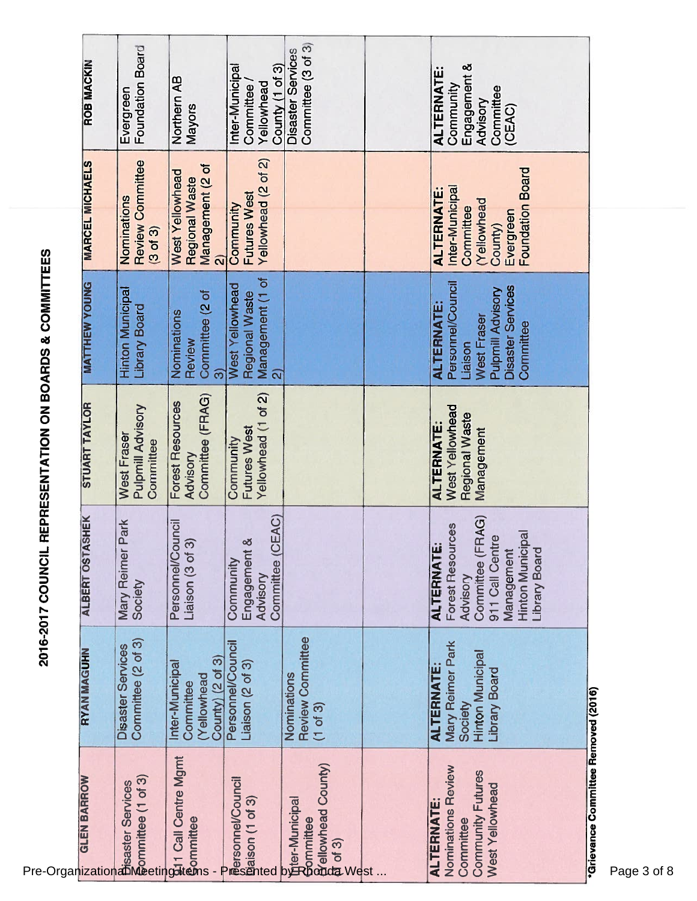| $\overline{a}$                    |
|-----------------------------------|
| ו<br>ו<br> <br> <br> <br>         |
|                                   |
| <b>CONTRACT CONTRACT CONTRACT</b> |
| $\frac{1}{2}$                     |

| Pre-Organizational<br>Pre-Organizational<br>Pre-Organizational<br>Meeting                            |                                                                                             | 2016-2017 COUNCIL REPRESENTATION ON BOARDS & COMMITTEES                                                                                                   |                                                                     |                                                                                                                                       |                                                                                                             |                                                                                   |
|------------------------------------------------------------------------------------------------------|---------------------------------------------------------------------------------------------|-----------------------------------------------------------------------------------------------------------------------------------------------------------|---------------------------------------------------------------------|---------------------------------------------------------------------------------------------------------------------------------------|-------------------------------------------------------------------------------------------------------------|-----------------------------------------------------------------------------------|
|                                                                                                      | <b>RYAN MAGUHN</b>                                                                          | <b>HEK</b><br><b>ALBERT OSTAS</b>                                                                                                                         | <b>STUART TAYLOR</b>                                                | <b>MATTHEW YOUNG</b>                                                                                                                  | <b>MARCEL MICHAELS</b>                                                                                      | <b>ROB MACKIN</b>                                                                 |
|                                                                                                      | Committee (2 of 3)<br><b>Disaster Services</b>                                              | ark<br>Mary Reimer P<br>Society                                                                                                                           | Pulpmill Advisory<br>West Fraser<br>Committee                       | <b>Hinton Municipal</b><br>Library Board                                                                                              | <b>Review Committee</b><br>Nominations<br>(3 <sub>of</sub> 3)                                               | Foundation Board<br>Evergreen                                                     |
| <u>ର</u> ୁ<br>କୁଏ । Call Centre Mgmt<br>କୁommittee                                                   | County) (2 of 3)<br>Inter-Municipal<br>(Yellowhead<br>Committee                             | Personnel/Council<br>Liaison (3 of 3)                                                                                                                     | Committee (FRAG)<br>Forest Resources<br>Advisory                    | Committee (2 of<br>Nominations<br>Review<br>$\widehat{\mathfrak{S}}$                                                                  | Management (2 of<br>West Yellowhead<br>Regional Waste<br>$\widehat{\mathbf{a}}$                             | Northern AB<br>Mayors                                                             |
| <b>Bersonnel/Council</b><br>Statison (1 of 3)<br>And State of 3)                                     | Personnel/Council<br>Liaison $(2 \text{ of } 3)$                                            | Committee (CEAC)<br>Engagement &<br>Community<br>Advisory                                                                                                 | Yellowhead (1 of 2)<br><b>Futures West</b><br>Community             | Management (1 of<br>West Yellowhead<br>Regional Waste<br>$\widehat{\mathbf{N}}$                                                       | Yellowhead (2 of 2)<br><b>Futures West</b><br>Community                                                     | Inter-Municipal<br>County (1 of 3)<br>Yellowhead<br>Committee                     |
| bet-Municipal<br>Bommittee<br>Bommittee<br>Bot 3)<br>of 3)<br>Examples (Sounty)<br>Examples (Sounty) | Review Committee<br>Nominations<br>$(1$ of 3)                                               |                                                                                                                                                           |                                                                     |                                                                                                                                       |                                                                                                             | Committee (3 of 3)<br><b>Disaster Services</b>                                    |
|                                                                                                      |                                                                                             |                                                                                                                                                           |                                                                     |                                                                                                                                       |                                                                                                             |                                                                                   |
| Nominations Review<br>Community Futures<br>West Yellowhead<br><b>ALTERNATE:</b><br>Committee         | Mary Reimer Park<br><b>Hinton Municipal</b><br><b>ALTERNATE</b><br>Library Board<br>Society | Committee (FRAG)<br>Forest Resources<br><b>Hinton Municipal</b><br>911 Call Centre<br><b>ALTERNATE:</b><br><b>Library Board</b><br>Management<br>Advisory | West Yellowhead<br>Regional Waste<br><b>ALTERNATE</b><br>Management | Personnel/Council<br><b>Disaster Services</b><br>Pulpmill Advisory<br><b>ALTERNATE:</b><br><b>West Fraser</b><br>Committee<br>Liaison | Foundation Board<br>Inter-Municipal<br><b>ALTERNATE</b><br>(Yellowhead<br>Committee<br>Evergreen<br>County) | Engagement &<br><b>ALTERNATE:</b><br>Community<br>Committee<br>Advisory<br>(CEAC) |
| 'Grievance Committee Removed (2016)<br>Page 3 of 8                                                   |                                                                                             |                                                                                                                                                           |                                                                     |                                                                                                                                       |                                                                                                             |                                                                                   |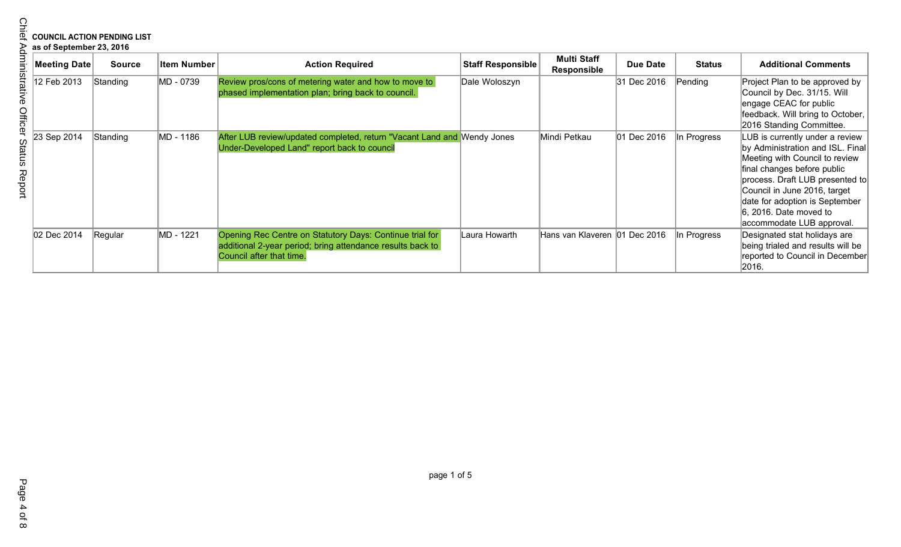# **COUNCIL ACTION PENDING LIST**

|  | as of September 23, 2016 |  |
|--|--------------------------|--|
|  |                          |  |

|                  | as of September 23, 2016 | <b>COUNCIL ACTION PENDING LIST</b> |                    |                                                                                                                                                    |                   |                                          |                 |               |                                                                                                                                                                                                                                                                                                     |
|------------------|--------------------------|------------------------------------|--------------------|----------------------------------------------------------------------------------------------------------------------------------------------------|-------------------|------------------------------------------|-----------------|---------------|-----------------------------------------------------------------------------------------------------------------------------------------------------------------------------------------------------------------------------------------------------------------------------------------------------|
|                  | <b>Meeting Date</b>      | <b>Source</b>                      | <b>Item Number</b> | <b>Action Required</b>                                                                                                                             | Staff Responsible | <b>Multi Staff</b><br><b>Responsible</b> | <b>Due Date</b> | <b>Status</b> | <b>Additional Comments</b>                                                                                                                                                                                                                                                                          |
| Office           | 12 Feb 2013              | Standing                           | MD - 0739          | Review pros/cons of metering water and how to move to<br>phased implementation plan; bring back to council.                                        | Dale Woloszyn     |                                          | 31 Dec 2016     | Pending       | Project Plan to be approved by<br>Council by Dec. 31/15. Will<br>engage CEAC for public<br>feedback. Will bring to October,<br>2016 Standing Committee.                                                                                                                                             |
| Status<br>Report | 23 Sep 2014              | Standing                           | MD - 1186          | After LUB review/updated completed, return "Vacant Land and Wendy Jones<br>Under-Developed Land" report back to council                            |                   | Mindi Petkau                             | 01 Dec 2016     | In Progress   | LUB is currently under a review<br>by Administration and ISL. Final<br>Meeting with Council to review<br>final changes before public<br>process. Draft LUB presented to<br>Council in June 2016, target<br>date for adoption is September<br>$6, 2016$ . Date moved to<br>accommodate LUB approval. |
|                  | 02 Dec 2014              | Regular                            | MD - 1221          | Opening Rec Centre on Statutory Days: Continue trial for<br>additional 2-year period; bring attendance results back to<br>Council after that time. | Laura Howarth     | Hans van Klaveren   01 Dec 2016          |                 | In Progress   | Designated stat holidays are<br>being trialed and results will be<br>reported to Council in December<br>2016.                                                                                                                                                                                       |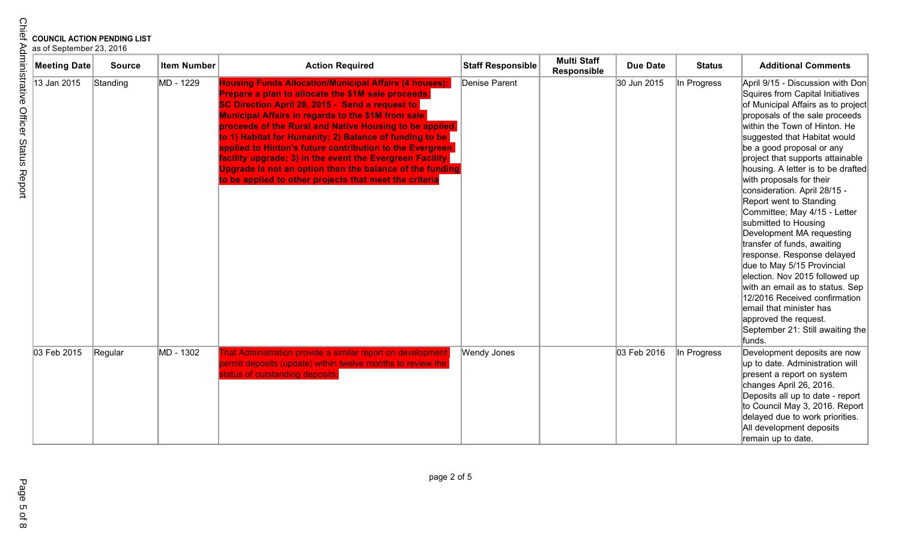| Meeting Date | <b>Source</b> | <b>Item Number</b> | <b>Action Required</b>                                                                                                                                                                                                                                                                                                                                                                                                                                                                                                                                                                          | <b>Staff Responsible</b> | <b>Multi Staff</b><br>Responsible | <b>Due Date</b> | <b>Status</b> | <b>Additional Comments</b>                                                                                                                                                                                                                                                                                                                                                                                                                                                                                                                                                                                                                                                                                                                                                                          |
|--------------|---------------|--------------------|-------------------------------------------------------------------------------------------------------------------------------------------------------------------------------------------------------------------------------------------------------------------------------------------------------------------------------------------------------------------------------------------------------------------------------------------------------------------------------------------------------------------------------------------------------------------------------------------------|--------------------------|-----------------------------------|-----------------|---------------|-----------------------------------------------------------------------------------------------------------------------------------------------------------------------------------------------------------------------------------------------------------------------------------------------------------------------------------------------------------------------------------------------------------------------------------------------------------------------------------------------------------------------------------------------------------------------------------------------------------------------------------------------------------------------------------------------------------------------------------------------------------------------------------------------------|
| 13 Jan 2015  | Standing      | MD - 1229          | <b>Housing Funds Allocation/Municipal Affairs (4 houses):</b><br>Prepare a plan to allocate the \$1M sale proceeds.<br>SC Direction April 28, 2015 - Send a request to<br>Municipal Affairs in regards to the \$1M from sale<br>proceeds of the Rural and Native Housing to be applied<br>to 1) Habitat for Humanity; 2) Balance of funding to be<br>applied to Hinton's future contribution to the Evergreen<br>facility upgrade; 3) in the event the Evergreen Facility<br>Upgrade is not an option then the balance of the funding<br>to be applied to other projects that meet the criteria | Denise Parent            |                                   | 30 Jun 2015     | In Progress   | April 9/15 - Discussion with Don<br>Squires from Capital Initiatives<br>of Municipal Affairs as to project<br>proposals of the sale proceeds<br>within the Town of Hinton. He<br>suggested that Habitat would<br>be a good proposal or any<br>project that supports attainable<br>housing. A letter is to be drafted<br>with proposals for their<br>consideration. April 28/15 -<br>Report went to Standing<br>Committee; May 4/15 - Letter<br>submitted to Housing<br>Development MA requesting<br>transfer of funds, awaiting<br>response. Response delayed<br>due to May 5/15 Provincial<br>election. Nov 2015 followed up<br>with an email as to status. Sep<br>12/2016 Received confirmation<br>email that minister has<br>approved the request.<br>September 21: Still awaiting the<br>funds. |
| 03 Feb 2015  | Regular       | MD - 1302          | That Administration provide a similar report on development<br>permit deposits (update) within twelve months to review the<br>status of outstanding deposits.                                                                                                                                                                                                                                                                                                                                                                                                                                   | <b>Wendy Jones</b>       |                                   | 03 Feb 2016     | In Progress   | Development deposits are now<br>up to date. Administration will<br>present a report on system<br>changes April 26, 2016.<br>Deposits all up to date - report<br>to Council May 3, 2016. Report<br>delayed due to work priorities.<br>All development deposits<br>remain up to date.                                                                                                                                                                                                                                                                                                                                                                                                                                                                                                                 |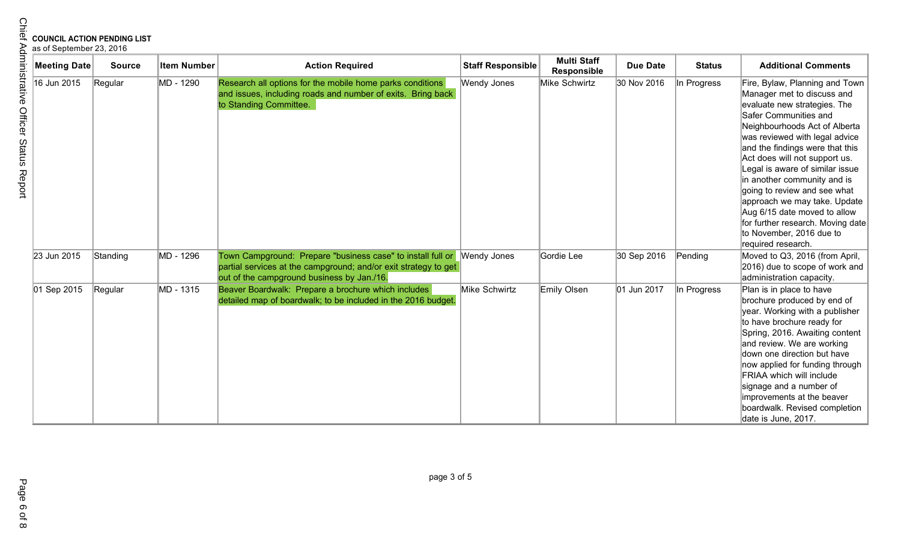| <b>Meeting Date</b> | <b>Source</b> | <b>Item Number</b> | <b>Action Required</b>                                                                                                                                                                   | <b>Staff Responsible</b> | <b>Multi Staff</b><br><b>Responsible</b> | <b>Due Date</b> | <b>Status</b> | <b>Additional Comments</b>                                                                                                                                                                                                                                                                                                                                                                                                                                                                                            |
|---------------------|---------------|--------------------|------------------------------------------------------------------------------------------------------------------------------------------------------------------------------------------|--------------------------|------------------------------------------|-----------------|---------------|-----------------------------------------------------------------------------------------------------------------------------------------------------------------------------------------------------------------------------------------------------------------------------------------------------------------------------------------------------------------------------------------------------------------------------------------------------------------------------------------------------------------------|
| 16 Jun 2015         | Regular       | MD - 1290          | Research all options for the mobile home parks conditions<br>and issues, including roads and number of exits. Bring back<br>to Standing Committee.                                       | Wendy Jones              | Mike Schwirtz                            | 30 Nov 2016     | In Progress   | Fire, Bylaw, Planning and Town<br>Manager met to discuss and<br>evaluate new strategies. The<br>Safer Communities and<br>Neighbourhoods Act of Alberta<br>was reviewed with legal advice<br>and the findings were that this<br>Act does will not support us.<br>Legal is aware of similar issue<br>in another community and is<br>going to review and see what<br>approach we may take. Update<br>Aug 6/15 date moved to allow<br>for further research. Moving date<br>to November, 2016 due to<br>required research. |
| 23 Jun 2015         | Standing      | MD - 1296          | Town Campground: Prepare "business case" to install full or Wendy Jones<br>partial services at the campground; and/or exit strategy to get<br>out of the campground business by Jan./16. |                          | Gordie Lee                               | 30 Sep 2016     | Pending       | Moved to Q3, 2016 (from April,<br>2016) due to scope of work and<br>administration capacity.                                                                                                                                                                                                                                                                                                                                                                                                                          |
| 01 Sep 2015         | Regular       | MD - 1315          | Beaver Boardwalk: Prepare a brochure which includes<br>detailed map of boardwalk; to be included in the 2016 budget.                                                                     | Mike Schwirtz            | Emily Olsen                              | 01 Jun 2017     | In Progress   | Plan is in place to have<br>brochure produced by end of<br>year. Working with a publisher<br>to have brochure ready for<br>Spring, 2016. Awaiting content<br>and review. We are working<br>down one direction but have<br>now applied for funding through<br>FRIAA which will include<br>signage and a number of<br>improvements at the beaver<br>boardwalk. Revised completion<br>date is June, 2017.                                                                                                                |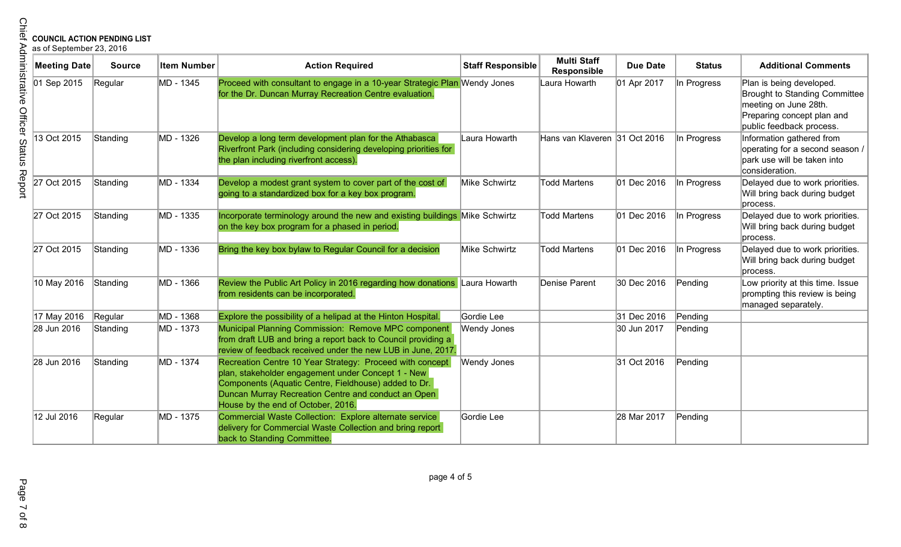| <b>COUNCIL ACTION PENDING LIST</b><br>as of September 23, 2016 |               |                    |                                                                                                                                                                                                                                                                     |                          |                                          |                 |               |                                                                                                                                                     |
|----------------------------------------------------------------|---------------|--------------------|---------------------------------------------------------------------------------------------------------------------------------------------------------------------------------------------------------------------------------------------------------------------|--------------------------|------------------------------------------|-----------------|---------------|-----------------------------------------------------------------------------------------------------------------------------------------------------|
| <b>Meeting Date</b>                                            | <b>Source</b> | <b>Item Number</b> | <b>Action Required</b>                                                                                                                                                                                                                                              | <b>Staff Responsible</b> | <b>Multi Staff</b><br><b>Responsible</b> | <b>Due Date</b> | <b>Status</b> | <b>Additional Comments</b>                                                                                                                          |
| 01 Sep 2015                                                    | Regular       | MD - 1345          | Proceed with consultant to engage in a 10-year Strategic Plan Wendy Jones<br>for the Dr. Duncan Murray Recreation Centre evaluation.                                                                                                                                |                          | Laura Howarth                            | 01 Apr 2017     | In Progress   | Plan is being developed.<br><b>Brought to Standing Committee</b><br>meeting on June 28th.<br>Preparing concept plan and<br>public feedback process. |
| 13 Oct 2015                                                    | Standing      | MD - 1326          | Develop a long term development plan for the Athabasca<br>Riverfront Park (including considering developing priorities for<br>the plan including riverfront access).                                                                                                | Laura Howarth            | Hans van Klaveren 31 Oct 2016            |                 | In Progress   | Information gathered from<br>operating for a second season /<br>park use will be taken into<br>consideration.                                       |
| 27 Oct 2015                                                    | Standing      | MD - 1334          | Develop a modest grant system to cover part of the cost of<br>going to a standardized box for a key box program.                                                                                                                                                    | Mike Schwirtz            | <b>Todd Martens</b>                      | 01 Dec 2016     | In Progress   | Delayed due to work priorities.<br>Will bring back during budget<br>process.                                                                        |
| 27 Oct 2015                                                    | Standing      | MD - 1335          | Incorporate terminology around the new and existing buildings Mike Schwirtz<br>on the key box program for a phased in period.                                                                                                                                       |                          | Todd Martens                             | 01 Dec 2016     | In Progress   | Delayed due to work priorities.<br>Will bring back during budget<br>process.                                                                        |
| 27 Oct 2015                                                    | Standing      | MD - 1336          | Bring the key box bylaw to Regular Council for a decision                                                                                                                                                                                                           | Mike Schwirtz            | <b>Todd Martens</b>                      | 01 Dec 2016     | In Progress   | Delayed due to work priorities.<br>Will bring back during budget<br>process.                                                                        |
| 10 May 2016                                                    | Standing      | MD - 1366          | Review the Public Art Policy in 2016 regarding how donations Laura Howarth<br>from residents can be incorporated.                                                                                                                                                   |                          | Denise Parent                            | 30 Dec 2016     | Pending       | Low priority at this time. Issue<br>prompting this review is being<br>managed separately.                                                           |
| 17 May 2016                                                    | Regular       | MD - 1368          | Explore the possibility of a helipad at the Hinton Hospital.                                                                                                                                                                                                        | Gordie Lee               |                                          | 31 Dec 2016     | Pending       |                                                                                                                                                     |
| 28 Jun 2016                                                    | Standing      | MD - 1373          | Municipal Planning Commission: Remove MPC component<br>from draft LUB and bring a report back to Council providing a<br>review of feedback received under the new LUB in June, 2017.                                                                                | Wendy Jones              |                                          | 30 Jun 2017     | Pending       |                                                                                                                                                     |
| 28 Jun 2016                                                    | Standing      | MD - 1374          | Recreation Centre 10 Year Strategy: Proceed with concept<br>plan, stakeholder engagement under Concept 1 - New<br>Components (Aquatic Centre, Fieldhouse) added to Dr.<br>Duncan Murray Recreation Centre and conduct an Open<br>House by the end of October, 2016. | Wendy Jones              |                                          | 31 Oct 2016     | Pending       |                                                                                                                                                     |
| 12 Jul 2016                                                    | Regular       | MD - 1375          | Commercial Waste Collection: Explore alternate service<br>delivery for Commercial Waste Collection and bring report<br>back to Standing Committee.                                                                                                                  | Gordie Lee               |                                          | 28 Mar 2017     | Pending       |                                                                                                                                                     |